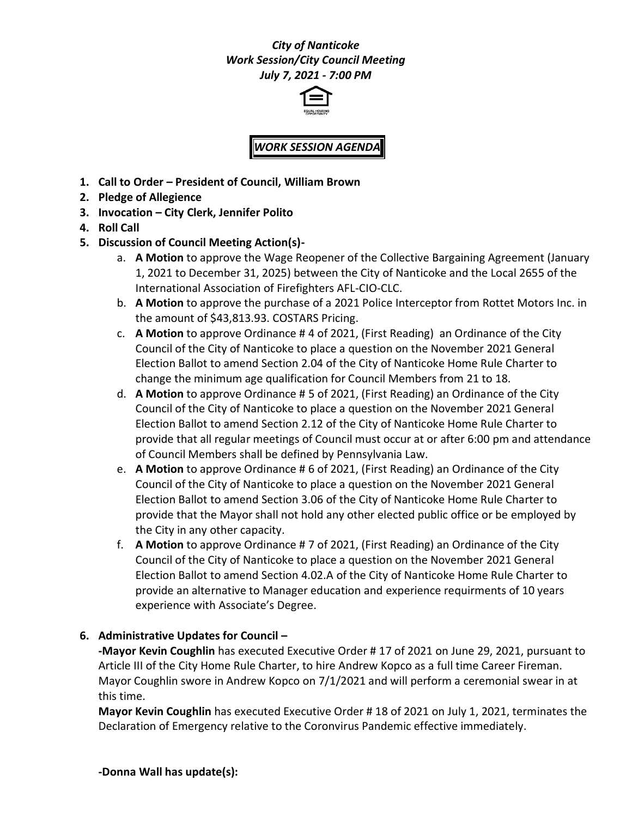### *City of Nanticoke Work Session/City Council Meeting July 7, 2021 - 7:00 PM*



# *WORK SESSION AGENDA*

- **1. Call to Order – President of Council, William Brown**
- **2. Pledge of Allegience**
- **3. Invocation – City Clerk, Jennifer Polito**
- **4. Roll Call**
- **5. Discussion of Council Meeting Action(s)**
	- a. **A Motion** to approve the Wage Reopener of the Collective Bargaining Agreement (January 1, 2021 to December 31, 2025) between the City of Nanticoke and the Local 2655 of the International Association of Firefighters AFL-CIO-CLC.
	- b. **A Motion** to approve the purchase of a 2021 Police Interceptor from Rottet Motors Inc. in the amount of \$43,813.93. COSTARS Pricing.
	- c. **A Motion** to approve Ordinance # 4 of 2021, (First Reading) an Ordinance of the City Council of the City of Nanticoke to place a question on the November 2021 General Election Ballot to amend Section 2.04 of the City of Nanticoke Home Rule Charter to change the minimum age qualification for Council Members from 21 to 18.
	- d. **A Motion** to approve Ordinance # 5 of 2021, (First Reading) an Ordinance of the City Council of the City of Nanticoke to place a question on the November 2021 General Election Ballot to amend Section 2.12 of the City of Nanticoke Home Rule Charter to provide that all regular meetings of Council must occur at or after 6:00 pm and attendance of Council Members shall be defined by Pennsylvania Law.
	- e. **A Motion** to approve Ordinance # 6 of 2021, (First Reading) an Ordinance of the City Council of the City of Nanticoke to place a question on the November 2021 General Election Ballot to amend Section 3.06 of the City of Nanticoke Home Rule Charter to provide that the Mayor shall not hold any other elected public office or be employed by the City in any other capacity.
	- f. **A Motion** to approve Ordinance # 7 of 2021, (First Reading) an Ordinance of the City Council of the City of Nanticoke to place a question on the November 2021 General Election Ballot to amend Section 4.02.A of the City of Nanticoke Home Rule Charter to provide an alternative to Manager education and experience requirments of 10 years experience with Associate's Degree.

### **6. Administrative Updates for Council –**

**-Mayor Kevin Coughlin** has executed Executive Order # 17 of 2021 on June 29, 2021, pursuant to Article III of the City Home Rule Charter, to hire Andrew Kopco as a full time Career Fireman. Mayor Coughlin swore in Andrew Kopco on 7/1/2021 and will perform a ceremonial swear in at this time.

**Mayor Kevin Coughlin** has executed Executive Order # 18 of 2021 on July 1, 2021, terminates the Declaration of Emergency relative to the Coronvirus Pandemic effective immediately.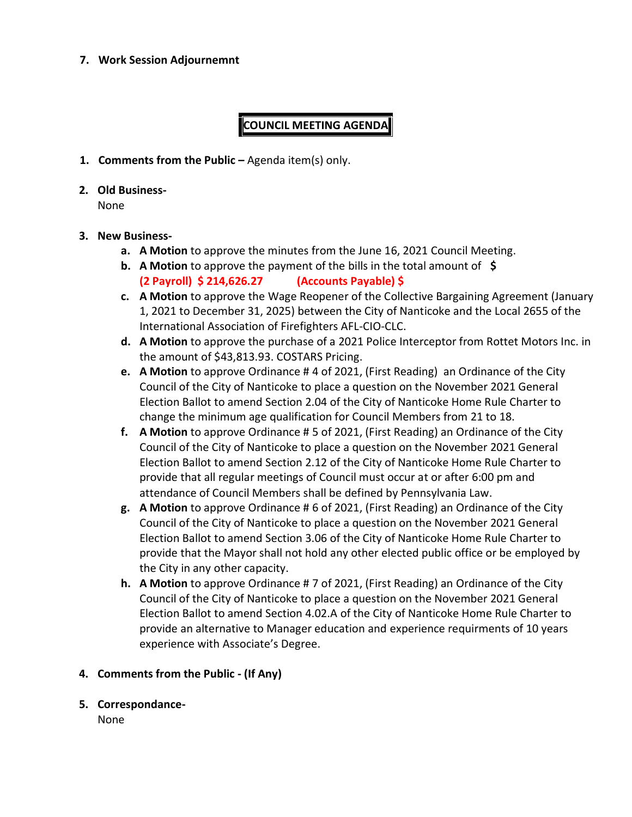#### **7. Work Session Adjournemnt**

## **COUNCIL MEETING AGENDA**

- **1. Comments from the Public –** Agenda item(s) only.
- **2. Old Business-**

None

### **3. New Business-**

- **a. A Motion** to approve the minutes from the June 16, 2021 Council Meeting.
- **b. A Motion** to approve the payment of the bills in the total amount of **\$ (2 Payroll) \$ 214,626.27 (Accounts Payable) \$**
- **c. A Motion** to approve the Wage Reopener of the Collective Bargaining Agreement (January 1, 2021 to December 31, 2025) between the City of Nanticoke and the Local 2655 of the International Association of Firefighters AFL-CIO-CLC.
- **d. A Motion** to approve the purchase of a 2021 Police Interceptor from Rottet Motors Inc. in the amount of \$43,813.93. COSTARS Pricing.
- **e. A Motion** to approve Ordinance # 4 of 2021, (First Reading) an Ordinance of the City Council of the City of Nanticoke to place a question on the November 2021 General Election Ballot to amend Section 2.04 of the City of Nanticoke Home Rule Charter to change the minimum age qualification for Council Members from 21 to 18.
- **f. A Motion** to approve Ordinance # 5 of 2021, (First Reading) an Ordinance of the City Council of the City of Nanticoke to place a question on the November 2021 General Election Ballot to amend Section 2.12 of the City of Nanticoke Home Rule Charter to provide that all regular meetings of Council must occur at or after 6:00 pm and attendance of Council Members shall be defined by Pennsylvania Law.
- **g. A Motion** to approve Ordinance # 6 of 2021, (First Reading) an Ordinance of the City Council of the City of Nanticoke to place a question on the November 2021 General Election Ballot to amend Section 3.06 of the City of Nanticoke Home Rule Charter to provide that the Mayor shall not hold any other elected public office or be employed by the City in any other capacity.
- **h. A Motion** to approve Ordinance # 7 of 2021, (First Reading) an Ordinance of the City Council of the City of Nanticoke to place a question on the November 2021 General Election Ballot to amend Section 4.02.A of the City of Nanticoke Home Rule Charter to provide an alternative to Manager education and experience requirments of 10 years experience with Associate's Degree.

### **4. Comments from the Public - (If Any)**

**5. Correspondance-**

None